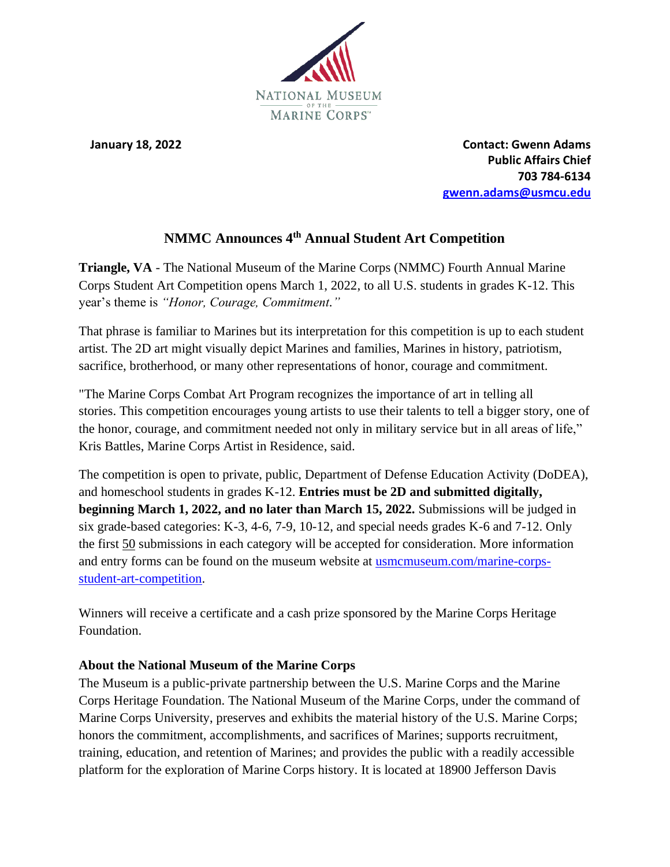

**January 18, 2022** Contact: Gwenn Adams  **Public Affairs Chief 703 784-6134 gwenn.adams@usmcu.edu**

## **NMMC Announces 4th Annual Student Art Competition**

**Triangle, VA** - The National Museum of the Marine Corps (NMMC) Fourth Annual Marine Corps Student Art Competition opens March 1, 2022, to all U.S. students in grades K-12. This year's theme is *"Honor, Courage, Commitment."*

That phrase is familiar to Marines but its interpretation for this competition is up to each student artist. The 2D art might visually depict Marines and families, Marines in history, patriotism, sacrifice, brotherhood, or many other representations of honor, courage and commitment.

"The Marine Corps Combat Art Program recognizes the importance of art in telling all stories. This competition encourages young artists to use their talents to tell a bigger story, one of the honor, courage, and commitment needed not only in military service but in all areas of life," Kris Battles, Marine Corps Artist in Residence, said.

The competition is open to private, public, Department of Defense Education Activity (DoDEA), and homeschool students in grades K-12. **Entries must be 2D and submitted digitally, beginning March 1, 2022, and no later than March 15, 2022.** Submissions will be judged in six grade-based categories: K-3, 4-6, 7-9, 10-12, and special needs grades K-6 and 7-12. Only the first 50 submissions in each category will be accepted for consideration. More information and entry forms can be found on the museum website at [usmcmuseum.com/marine-corps](https://www.usmcmuseum.com/marine-corps-student-art-competition.html)[student-art-competition.](https://www.usmcmuseum.com/marine-corps-student-art-competition.html)

Winners will receive a certificate and a cash prize sponsored by the Marine Corps Heritage Foundation.

## **About the National Museum of the Marine Corps**

The Museum is a public-private partnership between the U.S. Marine Corps and the Marine Corps Heritage Foundation. The National Museum of the Marine Corps, under the command of Marine Corps University, preserves and exhibits the material history of the U.S. Marine Corps; honors the commitment, accomplishments, and sacrifices of Marines; supports recruitment, training, education, and retention of Marines; and provides the public with a readily accessible platform for the exploration of Marine Corps history. It is located at 18900 Jefferson Davis